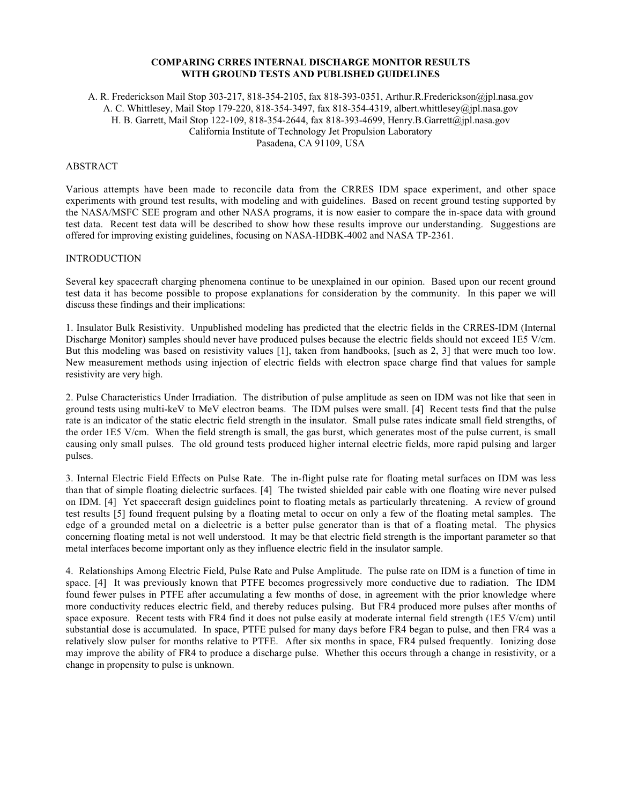#### **COMPARING CRRES INTERNAL DISCHARGE MONITOR RESULTS WITH GROUND TESTS AND PUBLISHED GUIDELINES**

### A. R. Frederickson Mail Stop 303-217, 818-354-2105, fax 818-393-0351, Arthur.R.Frederickson@jpl.nasa.gov A. C. Whittlesey, Mail Stop 179-220, 818-354-3497, fax 818-354-4319, albert.whittlesey@jpl.nasa.gov H. B. Garrett, Mail Stop 122-109, 818-354-2644, fax 818-393-4699, Henry.B.Garrett@jpl.nasa.gov California Institute of Technology Jet Propulsion Laboratory Pasadena, CA 91109, USA

### ABSTRACT

Various attempts have been made to reconcile data from the CRRES IDM space experiment, and other space experiments with ground test results, with modeling and with guidelines. Based on recent ground testing supported by the NASA/MSFC SEE program and other NASA programs, it is now easier to compare the in-space data with ground test data. Recent test data will be described to show how these results improve our understanding. Suggestions are offered for improving existing guidelines, focusing on NASA-HDBK-4002 and NASA TP-2361.

### **INTRODUCTION**

Several key spacecraft charging phenomena continue to be unexplained in our opinion. Based upon our recent ground test data it has become possible to propose explanations for consideration by the community. In this paper we will discuss these findings and their implications:

1. Insulator Bulk Resistivity. Unpublished modeling has predicted that the electric fields in the CRRES-IDM (Internal Discharge Monitor) samples should never have produced pulses because the electric fields should not exceed 1E5 V/cm. But this modeling was based on resistivity values [1], taken from handbooks, [such as 2, 3] that were much too low. New measurement methods using injection of electric fields with electron space charge find that values for sample resistivity are very high.

2. Pulse Characteristics Under Irradiation. The distribution of pulse amplitude as seen on IDM was not like that seen in ground tests using multi-keV to MeV electron beams. The IDM pulses were small. [4] Recent tests find that the pulse rate is an indicator of the static electric field strength in the insulator. Small pulse rates indicate small field strengths, of the order 1E5 V/cm. When the field strength is small, the gas burst, which generates most of the pulse current, is small causing only small pulses. The old ground tests produced higher internal electric fields, more rapid pulsing and larger pulses.

3. Internal Electric Field Effects on Pulse Rate. The in-flight pulse rate for floating metal surfaces on IDM was less than that of simple floating dielectric surfaces. [4] The twisted shielded pair cable with one floating wire never pulsed on IDM. [4] Yet spacecraft design guidelines point to floating metals as particularly threatening. A review of ground test results [5] found frequent pulsing by a floating metal to occur on only a few of the floating metal samples. The edge of a grounded metal on a dielectric is a better pulse generator than is that of a floating metal. The physics concerning floating metal is not well understood. It may be that electric field strength is the important parameter so that metal interfaces become important only as they influence electric field in the insulator sample.

4. Relationships Among Electric Field, Pulse Rate and Pulse Amplitude. The pulse rate on IDM is a function of time in space. [4] It was previously known that PTFE becomes progressively more conductive due to radiation. The IDM found fewer pulses in PTFE after accumulating a few months of dose, in agreement with the prior knowledge where more conductivity reduces electric field, and thereby reduces pulsing. But FR4 produced more pulses after months of space exposure. Recent tests with FR4 find it does not pulse easily at moderate internal field strength (1E5 V/cm) until substantial dose is accumulated. In space, PTFE pulsed for many days before FR4 began to pulse, and then FR4 was a relatively slow pulser for months relative to PTFE. After six months in space, FR4 pulsed frequently. Ionizing dose may improve the ability of FR4 to produce a discharge pulse. Whether this occurs through a change in resistivity, or a change in propensity to pulse is unknown.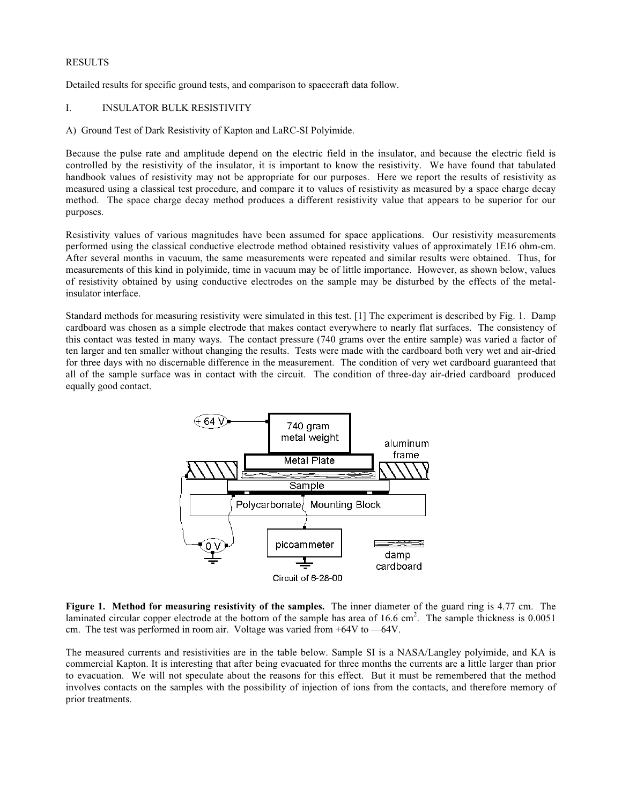### RESULTS

Detailed results for specific ground tests, and comparison to spacecraft data follow.

# I. INSULATOR BULK RESISTIVITY

A) Ground Test of Dark Resistivity of Kapton and LaRC-SI Polyimide.

Because the pulse rate and amplitude depend on the electric field in the insulator, and because the electric field is controlled by the resistivity of the insulator, it is important to know the resistivity. We have found that tabulated handbook values of resistivity may not be appropriate for our purposes. Here we report the results of resistivity as measured using a classical test procedure, and compare it to values of resistivity as measured by a space charge decay method. The space charge decay method produces a different resistivity value that appears to be superior for our purposes.

Resistivity values of various magnitudes have been assumed for space applications. Our resistivity measurements performed using the classical conductive electrode method obtained resistivity values of approximately 1E16 ohm-cm. After several months in vacuum, the same measurements were repeated and similar results were obtained. Thus, for measurements of this kind in polyimide, time in vacuum may be of little importance. However, as shown below, values of resistivity obtained by using conductive electrodes on the sample may be disturbed by the effects of the metalinsulator interface.

Standard methods for measuring resistivity were simulated in this test. [1] The experiment is described by Fig. 1. Damp cardboard was chosen as a simple electrode that makes contact everywhere to nearly flat surfaces. The consistency of this contact was tested in many ways. The contact pressure (740 grams over the entire sample) was varied a factor of ten larger and ten smaller without changing the results. Tests were made with the cardboard both very wet and air-dried for three days with no discernable difference in the measurement. The condition of very wet cardboard guaranteed that all of the sample surface was in contact with the circuit. The condition of three-day air-dried cardboard produced equally good contact.



**Figure 1. Method for measuring resistivity of the samples.** The inner diameter of the guard ring is 4.77 cm. The laminated circular copper electrode at the bottom of the sample has area of  $16.6 \text{ cm}^2$ . The sample thickness is  $0.0051$ cm. The test was performed in room air. Voltage was varied from +64V to —64V.

The measured currents and resistivities are in the table below. Sample SI is a NASA/Langley polyimide, and KA is commercial Kapton. It is interesting that after being evacuated for three months the currents are a little larger than prior to evacuation. We will not speculate about the reasons for this effect. But it must be remembered that the method involves contacts on the samples with the possibility of injection of ions from the contacts, and therefore memory of prior treatments.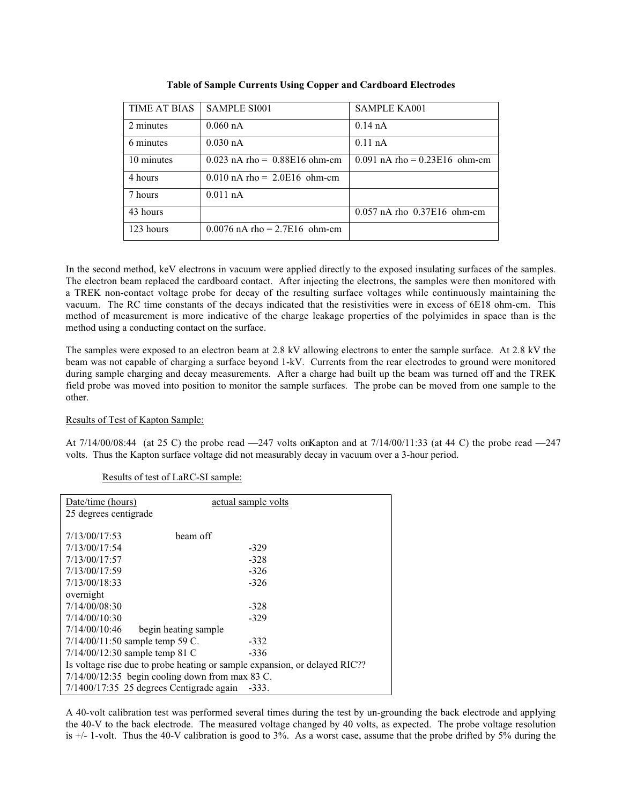| <b>TIME AT BIAS</b> | <b>SAMPLE SI001</b>               | <b>SAMPLE KA001</b>               |
|---------------------|-----------------------------------|-----------------------------------|
| 2 minutes           | $0.060$ nA                        | $0.14$ nA                         |
| 6 minutes           | $0.030$ nA                        | $0.11$ nA                         |
| 10 minutes          | $0.023$ nA rho = $0.88E16$ ohm-cm | $0.091$ nA rho = $0.23E16$ ohm-cm |
| 4 hours             | $0.010$ nA rho = 2.0E16 ohm-cm    |                                   |
| 7 hours             | $0.011$ nA                        |                                   |
| 43 hours            |                                   | $0.057$ nA rho $0.37E16$ ohm-cm   |
| 123 hours           | $0.0076$ nA rho = 2.7E16 ohm-cm   |                                   |

**Table of Sample Currents Using Copper and Cardboard Electrodes**

In the second method, keV electrons in vacuum were applied directly to the exposed insulating surfaces of the samples. The electron beam replaced the cardboard contact. After injecting the electrons, the samples were then monitored with a TREK non-contact voltage probe for decay of the resulting surface voltages while continuously maintaining the vacuum. The RC time constants of the decays indicated that the resistivities were in excess of 6E18 ohm-cm. This method of measurement is more indicative of the charge leakage properties of the polyimides in space than is the method using a conducting contact on the surface.

The samples were exposed to an electron beam at 2.8 kV allowing electrons to enter the sample surface. At 2.8 kV the beam was not capable of charging a surface beyond 1-kV. Currents from the rear electrodes to ground were monitored during sample charging and decay measurements. After a charge had built up the beam was turned off and the TREK field probe was moved into position to monitor the sample surfaces. The probe can be moved from one sample to the other.

# Results of Test of Kapton Sample:

At  $7/14/00/08:44$  (at 25 C) the probe read  $-247$  volts on Kapton and at  $7/14/00/11:33$  (at 44 C) the probe read  $-247$ volts. Thus the Kapton surface voltage did not measurably decay in vacuum over a 3-hour period.

| Date/time (hours)                                                          | actual sample volts                                 |  |  |
|----------------------------------------------------------------------------|-----------------------------------------------------|--|--|
| 25 degrees centigrade                                                      |                                                     |  |  |
|                                                                            |                                                     |  |  |
| 7/13/00/17:53                                                              | beam off                                            |  |  |
| 7/13/00/17:54                                                              | $-329$                                              |  |  |
| 7/13/00/17:57                                                              | $-328$                                              |  |  |
| 7/13/00/17:59                                                              | $-326$                                              |  |  |
| 7/13/00/18:33                                                              | $-326$                                              |  |  |
| overnight                                                                  |                                                     |  |  |
| 7/14/00/08:30                                                              | $-328$                                              |  |  |
| 7/14/00/10:30                                                              | $-329$                                              |  |  |
| 7/14/00/10:46                                                              | begin heating sample                                |  |  |
| 7/14/00/11:50 sample temp 59 C.                                            | $-332$                                              |  |  |
| $7/14/00/12:30$ sample temp 81 C                                           | $-336$                                              |  |  |
| Is voltage rise due to probe heating or sample expansion, or delayed RIC?? |                                                     |  |  |
| $7/14/00/12:35$ begin cooling down from max 83 C.                          |                                                     |  |  |
|                                                                            | $7/1400/17:35$ 25 degrees Centigrade again<br>-333. |  |  |

### Results of test of LaRC-SI sample:

A 40-volt calibration test was performed several times during the test by un-grounding the back electrode and applying the 40-V to the back electrode. The measured voltage changed by 40 volts, as expected. The probe voltage resolution is +/- 1-volt. Thus the 40-V calibration is good to 3%. As a worst case, assume that the probe drifted by 5% during the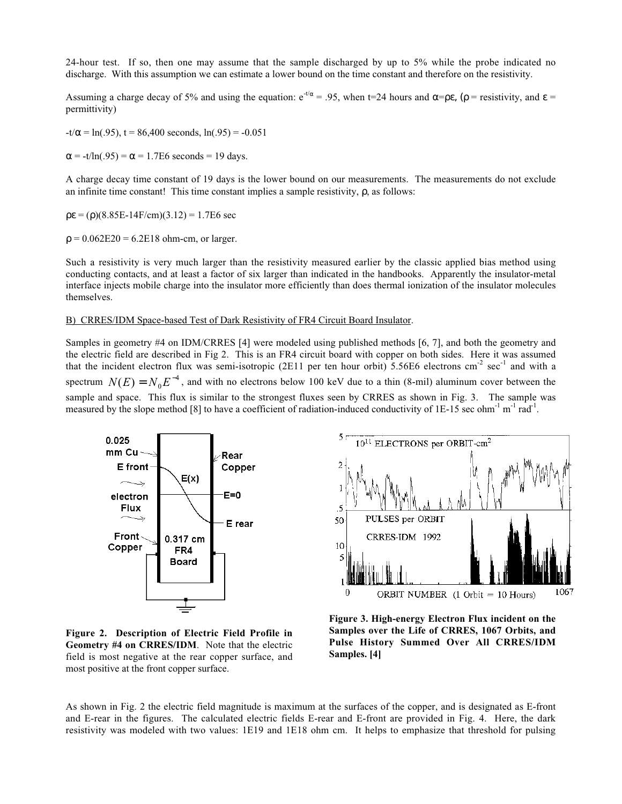24-hour test. If so, then one may assume that the sample discharged by up to 5% while the probe indicated no discharge. With this assumption we can estimate a lower bound on the time constant and therefore on the resistivity.

Assuming a charge decay of 5% and using the equation:  $e^{-t/\alpha}$  = .95, when t=24 hours and  $\alpha = \rho \epsilon$ , ( $\rho$  = resistivity, and  $\epsilon$  = permittivity)

 $-t/\alpha = \ln(.95)$ , t = 86,400 seconds,  $\ln(.95) = -0.051$ 

 $\alpha$  = -t/ln(.95) =  $\alpha$  = 1.7E6 seconds = 19 days.

A charge decay time constant of 19 days is the lower bound on our measurements. The measurements do not exclude an infinite time constant! This time constant implies a sample resistivity,  $\rho$ , as follows:

 $p\epsilon = (p)(8.85E-14F/cm)(3.12) = 1.7E6$  sec

 $ρ = 0.062E20 = 6.2E18 ohm-cm, or larger.$ 

Such a resistivity is very much larger than the resistivity measured earlier by the classic applied bias method using conducting contacts, and at least a factor of six larger than indicated in the handbooks. Apparently the insulator-metal interface injects mobile charge into the insulator more efficiently than does thermal ionization of the insulator molecules themselves.

### B) CRRES/IDM Space-based Test of Dark Resistivity of FR4 Circuit Board Insulator.

Samples in geometry #4 on IDM/CRRES [4] were modeled using published methods [6, 7], and both the geometry and the electric field are described in Fig 2. This is an FR4 circuit board with copper on both sides. Here it was assumed that the incident electron flux was semi-isotropic (2E11 per ten hour orbit) 5.56E6 electrons cm<sup>-2</sup> sec<sup>-1</sup> and with a spectrum  $N(E) = N_0 E^{-4}$ , and with no electrons below 100 keV due to a thin (8-mil) aluminum cover between the sample and space. This flux is similar to the strongest fluxes seen by CRRES as shown in Fig. 3. The sample was measured by the slope method [8] to have a coefficient of radiation-induced conductivity of 1E-15 sec ohm<sup>-1</sup> m<sup>-1</sup> rad<sup>-1</sup>.



**Figure 2. Description of Electric Field Profile in Geometry #4 on CRRES/IDM**. Note that the electric field is most negative at the rear copper surface, and most positive at the front copper surface.



**Figure 3. High-energy Electron Flux incident on the Samples over the Life of CRRES, 1067 Orbits, and Pulse History Summed Over All CRRES/IDM Samples. [4]**

As shown in Fig. 2 the electric field magnitude is maximum at the surfaces of the copper, and is designated as E-front and E-rear in the figures. The calculated electric fields E-rear and E-front are provided in Fig. 4. Here, the dark resistivity was modeled with two values: 1E19 and 1E18 ohm cm. It helps to emphasize that threshold for pulsing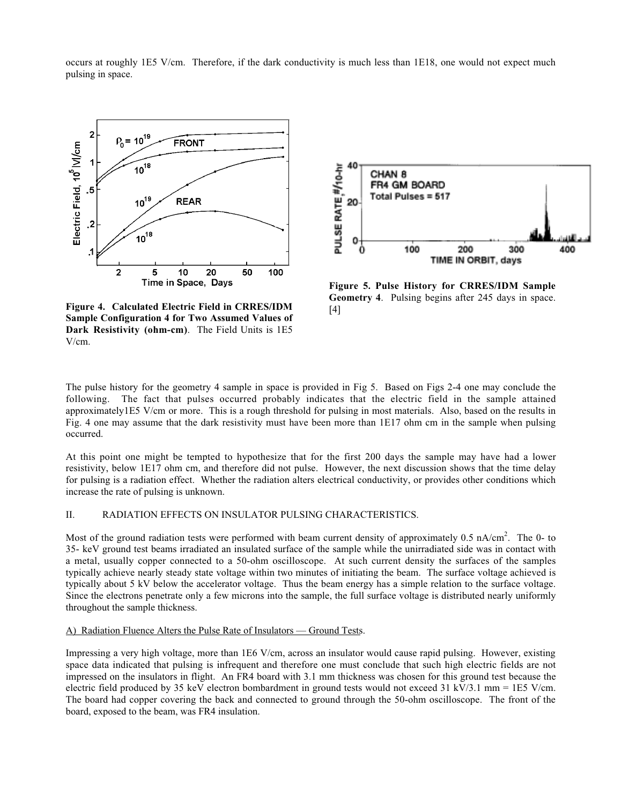

occurs at roughly 1E5 V/cm. Therefore, if the dark conductivity is much less than 1E18, one would not expect much pulsing in space.

**Figure 4. Calculated Electric Field in CRRES/IDM Sample Configuration 4 for Two Assumed Values of Dark Resistivity (ohm-cm)**. The Field Units is 1E5 V/cm.



**Figure 5. Pulse History for CRRES/IDM Sample Geometry 4**. Pulsing begins after 245 days in space. [4]

The pulse history for the geometry 4 sample in space is provided in Fig 5. Based on Figs 2-4 one may conclude the following. The fact that pulses occurred probably indicates that the electric field in the sample attained approximately1E5 V/cm or more. This is a rough threshold for pulsing in most materials. Also, based on the results in Fig. 4 one may assume that the dark resistivity must have been more than 1E17 ohm cm in the sample when pulsing occurred.

At this point one might be tempted to hypothesize that for the first 200 days the sample may have had a lower resistivity, below 1E17 ohm cm, and therefore did not pulse. However, the next discussion shows that the time delay for pulsing is a radiation effect. Whether the radiation alters electrical conductivity, or provides other conditions which increase the rate of pulsing is unknown.

### II. RADIATION EFFECTS ON INSULATOR PULSING CHARACTERISTICS.

Most of the ground radiation tests were performed with beam current density of approximately  $0.5 \text{ nA/cm}^2$ . The 0- to 35- keV ground test beams irradiated an insulated surface of the sample while the unirradiated side was in contact with a metal, usually copper connected to a 50-ohm oscilloscope. At such current density the surfaces of the samples typically achieve nearly steady state voltage within two minutes of initiating the beam. The surface voltage achieved is typically about 5 kV below the accelerator voltage. Thus the beam energy has a simple relation to the surface voltage. Since the electrons penetrate only a few microns into the sample, the full surface voltage is distributed nearly uniformly throughout the sample thickness.

#### A) Radiation Fluence Alters the Pulse Rate of Insulators — Ground Tests.

Impressing a very high voltage, more than 1E6 V/cm, across an insulator would cause rapid pulsing. However, existing space data indicated that pulsing is infrequent and therefore one must conclude that such high electric fields are not impressed on the insulators in flight. An FR4 board with 3.1 mm thickness was chosen for this ground test because the electric field produced by 35 keV electron bombardment in ground tests would not exceed 31 kV/3.1 mm = 1E5 V/cm. The board had copper covering the back and connected to ground through the 50-ohm oscilloscope. The front of the board, exposed to the beam, was FR4 insulation.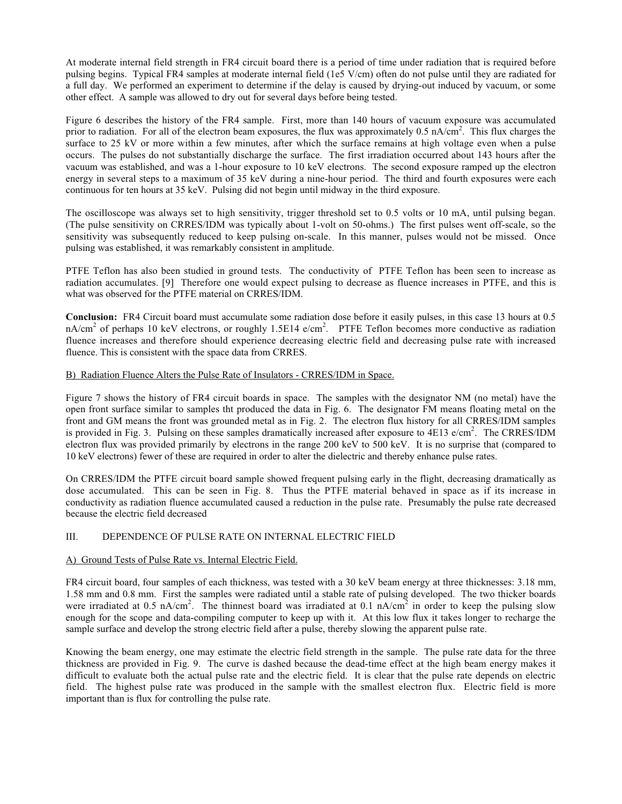At moderate internal field strength in FR4 circuit board there is a period of time under radiation that is required before pulsing begins. Typical FR4 samples at moderate internal field (1e5 V/cm) often do not pulse until they are radiated for a full day. We performed an experiment to determine if the delay is caused by drying-out induced by vacuum, or some other effect. A sample was allowed to dry out for several days before being tested.

Figure 6 describes the history of the FR4 sample. First, more than 140 hours of vacuum exposure was accumulated prior to radiation. For all of the electron beam exposures, the flux was approximately  $0.5 \text{ nA/cm}^2$ . This flux charges the surface to 25 kV or more within a few minutes, after which the surface remains at high voltage even when a pulse occurs. The pulses do not substantially discharge the surface. The first irradiation occurred about 143 hours after the vacuum was established, and was a 1-hour exposure to 10 keV electrons. The second exposure ramped up the electron energy in several steps to a maximum of 35 keV during a nine-hour period. The third and fourth exposures were each continuous for ten hours at 35 keV. Pulsing did not begin until midway in the third exposure.

The oscilloscope was always set to high sensitivity, trigger threshold set to 0.5 volts or 10 mA, until pulsing began. (The pulse sensitivity on CRRES/IDM was typically about 1-volt on 50-ohms.) The first pulses went off-scale, so the sensitivity was subsequently reduced to keep pulsing on-scale. In this manner, pulses would not be missed. Once pulsing was established, it was remarkably consistent in amplitude.

PTFE Teflon has also been studied in ground tests. The conductivity of PTFE Teflon has been seen to increase as radiation accumulates. [9] Therefore one would expect pulsing to decrease as fluence increases in PTFE, and this is what was observed for the PTFE material on CRRES/IDM.

**Conclusion:** FR4 Circuit board must accumulate some radiation dose before it easily pulses, in this case 13 hours at 0.5 nA/cm<sup>2</sup> of perhaps 10 keV electrons, or roughly 1.5E14 e/cm<sup>2</sup>. PTFE Teflon becomes more conductive as radiation fluence increases and therefore should experience decreasing electric field and decreasing pulse rate with increased fluence. This is consistent with the space data from CRRES.

### B) Radiation Fluence Alters the Pulse Rate of Insulators - CRRES/IDM in Space.

Figure 7 shows the history of FR4 circuit boards in space. The samples with the designator NM (no metal) have the open front surface similar to samples tht produced the data in Fig. 6. The designator FM means floating metal on the front and GM means the front was grounded metal as in Fig. 2. The electron flux history for all CRRES/IDM samples is provided in Fig. 3. Pulsing on these samples dramatically increased after exposure to  $4E13$  e/cm<sup>2</sup>. The CRRES/IDM electron flux was provided primarily by electrons in the range 200 keV to 500 keV. It is no surprise that (compared to 10 keV electrons) fewer of these are required in order to alter the dielectric and thereby enhance pulse rates.

On CRRES/IDM the PTFE circuit board sample showed frequent pulsing early in the flight, decreasing dramatically as dose accumulated. This can be seen in Fig. 8. Thus the PTFE material behaved in space as if its increase in conductivity as radiation fluence accumulated caused a reduction in the pulse rate. Presumably the pulse rate decreased because the electric field decreased

# III. DEPENDENCE OF PULSE RATE ON INTERNAL ELECTRIC FIELD

### A) Ground Tests of Pulse Rate vs. Internal Electric Field.

FR4 circuit board, four samples of each thickness, was tested with a 30 keV beam energy at three thicknesses: 3.18 mm, 1.58 mm and 0.8 mm. First the samples were radiated until a stable rate of pulsing developed. The two thicker boards were irradiated at 0.5 nA/cm<sup>2</sup>. The thinnest board was irradiated at 0.1 nA/cm<sup>2</sup> in order to keep the pulsing slow enough for the scope and data-compiling computer to keep up with it. At this low flux it takes longer to recharge the sample surface and develop the strong electric field after a pulse, thereby slowing the apparent pulse rate.

Knowing the beam energy, one may estimate the electric field strength in the sample. The pulse rate data for the three thickness are provided in Fig. 9. The curve is dashed because the dead-time effect at the high beam energy makes it difficult to evaluate both the actual pulse rate and the electric field. It is clear that the pulse rate depends on electric field. The highest pulse rate was produced in the sample with the smallest electron flux. Electric field is more important than is flux for controlling the pulse rate.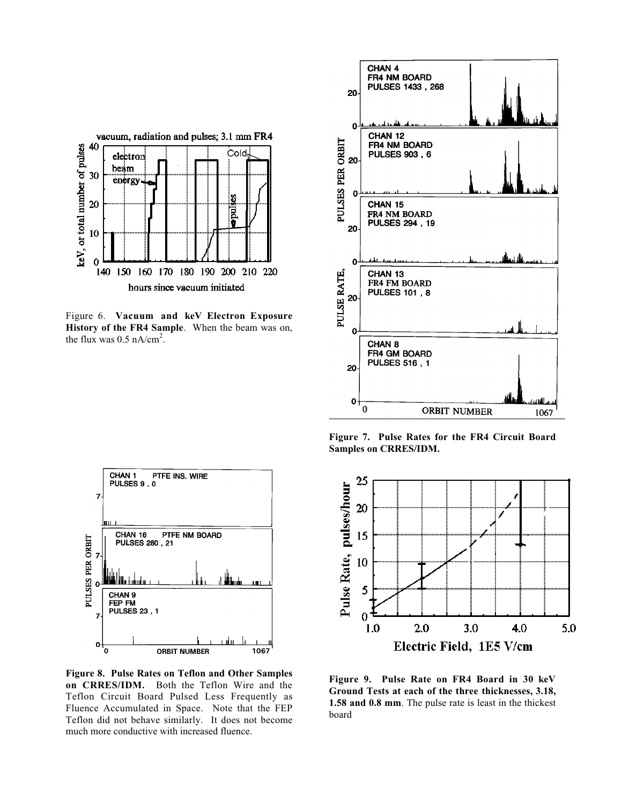

Figure 6. **Vacuum and keV Electron Exposure History of the FR4 Sample**. When the beam was on, the flux was  $0.5$  nA/cm<sup>2</sup>.

PTFE INS. WIRE

PTFE NM BOARD

IЩ

1067

CHAN 1

 $\overline{7}$ 

PULSES PER ORBIT  $\overline{7}$ 

7

 $\mathbf{0}$ 

'o

PULSES 9, 0

ille terroria

CHAN<sub>9</sub> FEP FM **PULSES 23, 1** 

**CHAN 16 PTF**<br>PULSES 280, 21



**Figure 7. Pulse Rates for the FR4 Circuit Board Samples on CRRES/IDM.**



**Figure 8. Pulse Rates on Teflon and Other Samples on CRRES/IDM.** Both the Teflon Wire and the Teflon Circuit Board Pulsed Less Frequently as Fluence Accumulated in Space. Note that the FEP Teflon did not behave similarly. It does not become much more conductive with increased fluence.

**ORBIT NUMBER** 

**Figure 9. Pulse Rate on FR4 Board in 30 keV Ground Tests at each of the three thicknesses, 3.18, 1.58 and 0.8 mm**. The pulse rate is least in the thickest board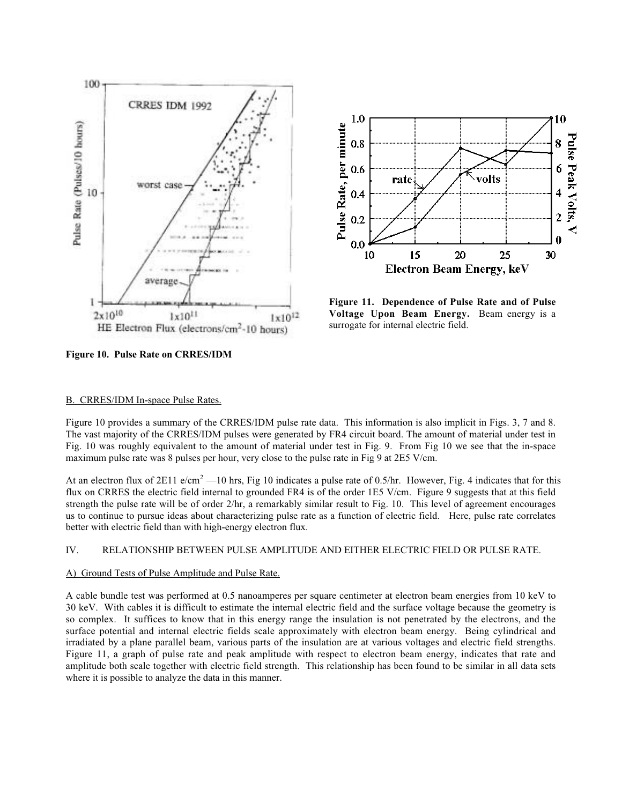



**Figure 11. Dependence of Pulse Rate and of Pulse Voltage Upon Beam Energy.** Beam energy is a surrogate for internal electric field.

**Figure 10. Pulse Rate on CRRES/IDM**

#### B. CRRES/IDM In-space Pulse Rates.

Figure 10 provides a summary of the CRRES/IDM pulse rate data. This information is also implicit in Figs. 3, 7 and 8. The vast majority of the CRRES/IDM pulses were generated by FR4 circuit board. The amount of material under test in Fig. 10 was roughly equivalent to the amount of material under test in Fig. 9. From Fig 10 we see that the in-space maximum pulse rate was 8 pulses per hour, very close to the pulse rate in Fig 9 at 2E5 V/cm.

At an electron flux of 2E11 e/cm<sup>2</sup> —10 hrs, Fig 10 indicates a pulse rate of 0.5/hr. However, Fig. 4 indicates that for this flux on CRRES the electric field internal to grounded FR4 is of the order 1E5 V/cm. Figure 9 suggests that at this field strength the pulse rate will be of order 2/hr, a remarkably similar result to Fig. 10. This level of agreement encourages us to continue to pursue ideas about characterizing pulse rate as a function of electric field. Here, pulse rate correlates better with electric field than with high-energy electron flux.

### IV. RELATIONSHIP BETWEEN PULSE AMPLITUDE AND EITHER ELECTRIC FIELD OR PULSE RATE.

#### A) Ground Tests of Pulse Amplitude and Pulse Rate.

A cable bundle test was performed at 0.5 nanoamperes per square centimeter at electron beam energies from 10 keV to 30 keV. With cables it is difficult to estimate the internal electric field and the surface voltage because the geometry is so complex. It suffices to know that in this energy range the insulation is not penetrated by the electrons, and the surface potential and internal electric fields scale approximately with electron beam energy. Being cylindrical and irradiated by a plane parallel beam, various parts of the insulation are at various voltages and electric field strengths. Figure 11, a graph of pulse rate and peak amplitude with respect to electron beam energy, indicates that rate and amplitude both scale together with electric field strength. This relationship has been found to be similar in all data sets where it is possible to analyze the data in this manner.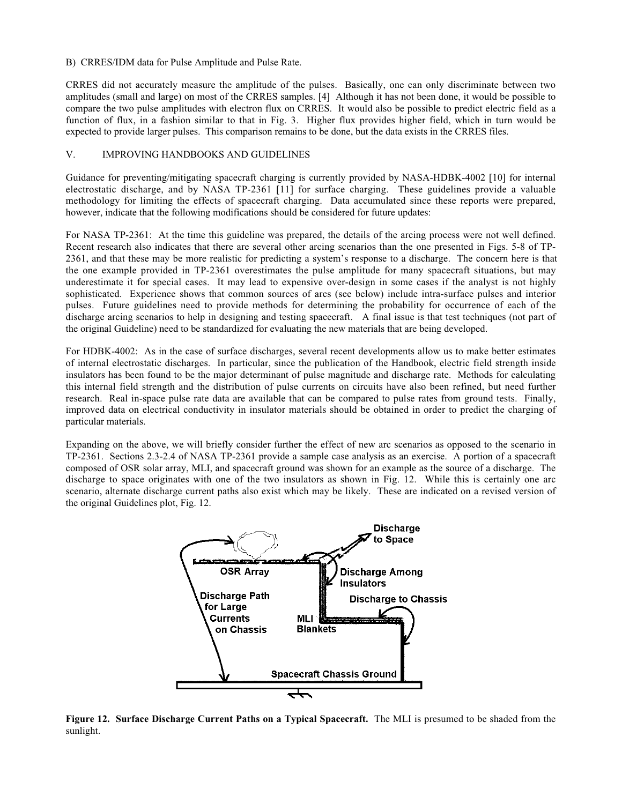#### B) CRRES/IDM data for Pulse Amplitude and Pulse Rate.

CRRES did not accurately measure the amplitude of the pulses. Basically, one can only discriminate between two amplitudes (small and large) on most of the CRRES samples. [4] Although it has not been done, it would be possible to compare the two pulse amplitudes with electron flux on CRRES. It would also be possible to predict electric field as a function of flux, in a fashion similar to that in Fig. 3. Higher flux provides higher field, which in turn would be expected to provide larger pulses. This comparison remains to be done, but the data exists in the CRRES files.

### V. IMPROVING HANDBOOKS AND GUIDELINES

Guidance for preventing/mitigating spacecraft charging is currently provided by NASA-HDBK-4002 [10] for internal electrostatic discharge, and by NASA TP-2361 [11] for surface charging. These guidelines provide a valuable methodology for limiting the effects of spacecraft charging. Data accumulated since these reports were prepared, however, indicate that the following modifications should be considered for future updates:

For NASA TP-2361: At the time this guideline was prepared, the details of the arcing process were not well defined. Recent research also indicates that there are several other arcing scenarios than the one presented in Figs. 5-8 of TP-2361, and that these may be more realistic for predicting a system's response to a discharge. The concern here is that the one example provided in TP-2361 overestimates the pulse amplitude for many spacecraft situations, but may underestimate it for special cases. It may lead to expensive over-design in some cases if the analyst is not highly sophisticated. Experience shows that common sources of arcs (see below) include intra-surface pulses and interior pulses. Future guidelines need to provide methods for determining the probability for occurrence of each of the discharge arcing scenarios to help in designing and testing spacecraft. A final issue is that test techniques (not part of the original Guideline) need to be standardized for evaluating the new materials that are being developed.

For HDBK-4002: As in the case of surface discharges, several recent developments allow us to make better estimates of internal electrostatic discharges. In particular, since the publication of the Handbook, electric field strength inside insulators has been found to be the major determinant of pulse magnitude and discharge rate. Methods for calculating this internal field strength and the distribution of pulse currents on circuits have also been refined, but need further research. Real in-space pulse rate data are available that can be compared to pulse rates from ground tests. Finally, improved data on electrical conductivity in insulator materials should be obtained in order to predict the charging of particular materials.

Expanding on the above, we will briefly consider further the effect of new arc scenarios as opposed to the scenario in TP-2361. Sections 2.3-2.4 of NASA TP-2361 provide a sample case analysis as an exercise. A portion of a spacecraft composed of OSR solar array, MLI, and spacecraft ground was shown for an example as the source of a discharge. The discharge to space originates with one of the two insulators as shown in Fig. 12. While this is certainly one arc scenario, alternate discharge current paths also exist which may be likely. These are indicated on a revised version of the original Guidelines plot, Fig. 12.



**Figure 12. Surface Discharge Current Paths on a Typical Spacecraft.** The MLI is presumed to be shaded from the sunlight.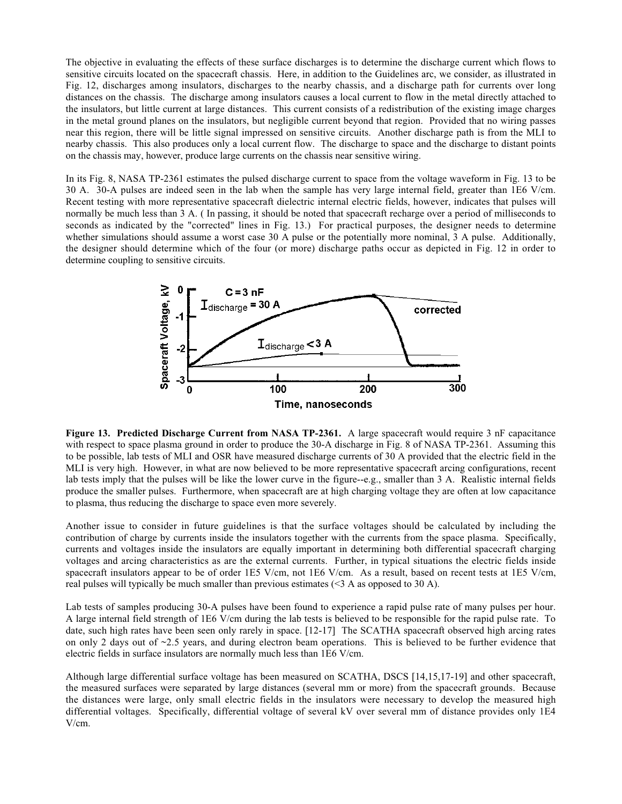The objective in evaluating the effects of these surface discharges is to determine the discharge current which flows to sensitive circuits located on the spacecraft chassis. Here, in addition to the Guidelines arc, we consider, as illustrated in Fig. 12, discharges among insulators, discharges to the nearby chassis, and a discharge path for currents over long distances on the chassis. The discharge among insulators causes a local current to flow in the metal directly attached to the insulators, but little current at large distances. This current consists of a redistribution of the existing image charges in the metal ground planes on the insulators, but negligible current beyond that region. Provided that no wiring passes near this region, there will be little signal impressed on sensitive circuits. Another discharge path is from the MLI to nearby chassis. This also produces only a local current flow. The discharge to space and the discharge to distant points on the chassis may, however, produce large currents on the chassis near sensitive wiring.

In its Fig. 8, NASA TP-2361 estimates the pulsed discharge current to space from the voltage waveform in Fig. 13 to be 30 A. 30-A pulses are indeed seen in the lab when the sample has very large internal field, greater than 1E6 V/cm. Recent testing with more representative spacecraft dielectric internal electric fields, however, indicates that pulses will normally be much less than 3 A. ( In passing, it should be noted that spacecraft recharge over a period of milliseconds to seconds as indicated by the "corrected" lines in Fig. 13.) For practical purposes, the designer needs to determine whether simulations should assume a worst case 30 A pulse or the potentially more nominal, 3 A pulse. Additionally, the designer should determine which of the four (or more) discharge paths occur as depicted in Fig. 12 in order to determine coupling to sensitive circuits.



**Figure 13. Predicted Discharge Current from NASA TP-2361.** A large spacecraft would require 3 nF capacitance with respect to space plasma ground in order to produce the 30-A discharge in Fig. 8 of NASA TP-2361. Assuming this to be possible, lab tests of MLI and OSR have measured discharge currents of 30 A provided that the electric field in the MLI is very high. However, in what are now believed to be more representative spacecraft arcing configurations, recent lab tests imply that the pulses will be like the lower curve in the figure--e.g., smaller than 3 A. Realistic internal fields produce the smaller pulses. Furthermore, when spacecraft are at high charging voltage they are often at low capacitance to plasma, thus reducing the discharge to space even more severely.

Another issue to consider in future guidelines is that the surface voltages should be calculated by including the contribution of charge by currents inside the insulators together with the currents from the space plasma. Specifically, currents and voltages inside the insulators are equally important in determining both differential spacecraft charging voltages and arcing characteristics as are the external currents. Further, in typical situations the electric fields inside spacecraft insulators appear to be of order 1E5 V/cm, not 1E6 V/cm. As a result, based on recent tests at 1E5 V/cm, real pulses will typically be much smaller than previous estimates (<3 A as opposed to 30 A).

Lab tests of samples producing 30-A pulses have been found to experience a rapid pulse rate of many pulses per hour. A large internal field strength of 1E6 V/cm during the lab tests is believed to be responsible for the rapid pulse rate. To date, such high rates have been seen only rarely in space. [12-17] The SCATHA spacecraft observed high arcing rates on only 2 days out of ~2.5 years, and during electron beam operations. This is believed to be further evidence that electric fields in surface insulators are normally much less than 1E6 V/cm.

Although large differential surface voltage has been measured on SCATHA, DSCS [14,15,17-19] and other spacecraft, the measured surfaces were separated by large distances (several mm or more) from the spacecraft grounds. Because the distances were large, only small electric fields in the insulators were necessary to develop the measured high differential voltages. Specifically, differential voltage of several kV over several mm of distance provides only 1E4 V/cm.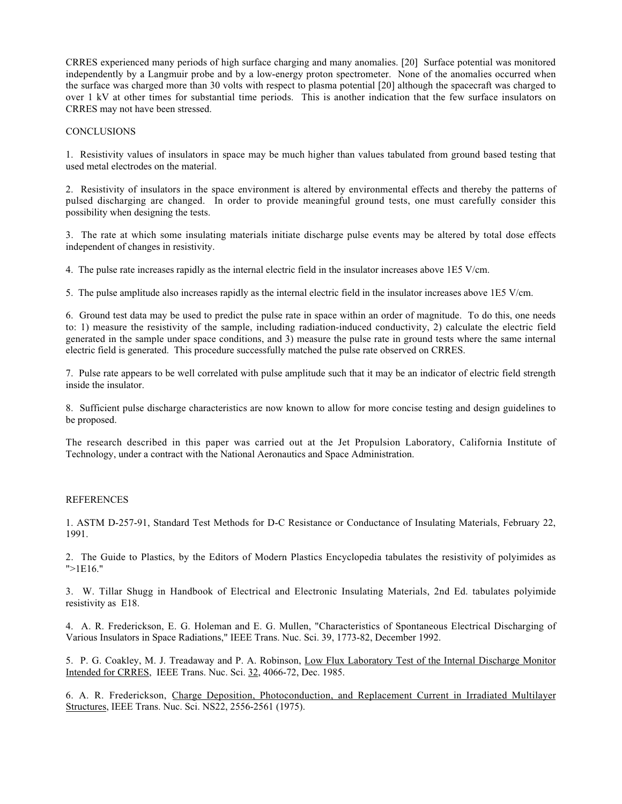CRRES experienced many periods of high surface charging and many anomalies. [20] Surface potential was monitored independently by a Langmuir probe and by a low-energy proton spectrometer. None of the anomalies occurred when the surface was charged more than 30 volts with respect to plasma potential [20] although the spacecraft was charged to over 1 kV at other times for substantial time periods. This is another indication that the few surface insulators on CRRES may not have been stressed.

### **CONCLUSIONS**

1. Resistivity values of insulators in space may be much higher than values tabulated from ground based testing that used metal electrodes on the material.

2. Resistivity of insulators in the space environment is altered by environmental effects and thereby the patterns of pulsed discharging are changed. In order to provide meaningful ground tests, one must carefully consider this possibility when designing the tests.

3. The rate at which some insulating materials initiate discharge pulse events may be altered by total dose effects independent of changes in resistivity.

4. The pulse rate increases rapidly as the internal electric field in the insulator increases above 1E5 V/cm.

5. The pulse amplitude also increases rapidly as the internal electric field in the insulator increases above 1E5 V/cm.

6. Ground test data may be used to predict the pulse rate in space within an order of magnitude. To do this, one needs to: 1) measure the resistivity of the sample, including radiation-induced conductivity, 2) calculate the electric field generated in the sample under space conditions, and 3) measure the pulse rate in ground tests where the same internal electric field is generated. This procedure successfully matched the pulse rate observed on CRRES.

7. Pulse rate appears to be well correlated with pulse amplitude such that it may be an indicator of electric field strength inside the insulator.

8. Sufficient pulse discharge characteristics are now known to allow for more concise testing and design guidelines to be proposed.

The research described in this paper was carried out at the Jet Propulsion Laboratory, California Institute of Technology, under a contract with the National Aeronautics and Space Administration.

### REFERENCES

1. ASTM D-257-91, Standard Test Methods for D-C Resistance or Conductance of Insulating Materials, February 22, 1991.

2. The Guide to Plastics, by the Editors of Modern Plastics Encyclopedia tabulates the resistivity of polyimides as ">1E16."

3. W. Tillar Shugg in Handbook of Electrical and Electronic Insulating Materials, 2nd Ed. tabulates polyimide resistivity as E18.

4. A. R. Frederickson, E. G. Holeman and E. G. Mullen, "Characteristics of Spontaneous Electrical Discharging of Various Insulators in Space Radiations," IEEE Trans. Nuc. Sci. 39, 1773-82, December 1992.

5. P. G. Coakley, M. J. Treadaway and P. A. Robinson, Low Flux Laboratory Test of the Internal Discharge Monitor Intended for CRRES, IEEE Trans. Nuc. Sci. 32, 4066-72, Dec. 1985.

6. A. R. Frederickson, Charge Deposition, Photoconduction, and Replacement Current in Irradiated Multilayer Structures, IEEE Trans. Nuc. Sci. NS22, 2556-2561 (1975).